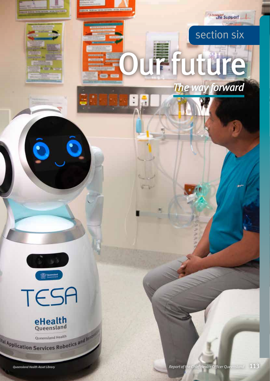# section six

**Commune** Support

Our future

*The way forward*



O



**Queensland Health**<br>Application Services Robotics and Input

*Queensland Health Asset Library*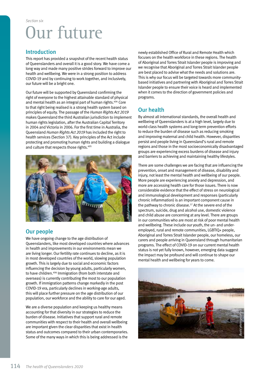## Introduction

This report has provided a snapshot of the recent health status of Queenslanders and overall it is a good story. We have come a long way and made many positive strides forward to improve our health and wellbeing. We were in a strong position to address COVID-19 and by continuing to work together, and inclusively, our future will be a bright one.

Our future will be supported by Queensland confirming the right of everyone to the highest attainable standard of physical and mental health as an integral part of human rights.404 Core to that right being realised is a strong health system based on principles of equity. The passage of the *Human Rights Act 2019* makes Queensland the third Australian jurisdiction to implement human rights legislation, after the Australian Capital Territory in 2004 and Victoria in 2006. For the first time in Australia, the Queensland *Human Rights Act 2019* has included the right to health services (Section 37). Key principles of the Act include protecting and promoting human rights and building a dialogue and culture that respects those rights.<sup>405</sup>



## Our people

We have ongoing change to the age distribution of Queenslanders, like most developed countries where advances in health and improvements in our environments mean we are living longer. Our fertility rate continues to decline, as it is in most developed countries of the world, slowing population growth. This is largely due to social and economic factors influencing the decision by young adults, particularly women, to have children.406 Immigration (from both interstate and overseas) is currently contributing the most to our population growth. If immigration patterns change markedly in the post COVID-19 era, particularly declines in working-age adults, this will place further pressure on the age distribution of our population, our workforce and the ability to care for our aged.

We are a diverse population and keeping us healthy means accounting for that diversity in our strategies to reduce the burden of disease. Initiatives that support rural and remote communities with respect to their health and overall wellbeing are important given the clear disparities that exist in health status and outcomes compared to their urban contemporaries. Some of the many ways in which this is being addressed is the

newly established Office of Rural and Remote Health which focuses on the health workforce in these regions. The health of Aboriginal and Torres Strait Islander people is improving and we recognise that Aboriginal and Torres Strait Islander people are best placed to advise what the needs and solutions are. This is why our focus will be targeted towards more communitybased initiatives and partnering with Aboriginal and Torres Strait Islander people to ensure their voice is heard and implemented when it comes to the direction of government policies and programs.

# Our health

By almost all international standards, the overall health and wellbeing of Queenslanders is at a high level, largely due to world-class health systems and long-term prevention efforts to reduce the burden of disease such as reducing smoking and improving maternal and child health. However, disparities persist and people living in Queensland's rural and remote regions and those in the most socioeconomically disadvantaged groups are experiencing excess burdens of disease and injury and barriers to achieving and maintaining healthy lifestyles.

There are some challenges we are facing that are influencing the prevention, onset and management of disease, disability and injury, not least the mental health and wellbeing of our people. More people are experiencing anxiety and depression, and more are accessing health care for those issues. There is now considerable evidence that the effect of stress on neurological and immunological development and responses (particularly chronic inflammation) is an important component cause in the pathway to chronic disease.<sup>17</sup> At the severe end of the spectrum, suicide, drug and alcohol use, domestic violence and child abuse are concerning at any level. There are groups in our communities who are most at risk of poor mental health and wellbeing. These include our youth, the un- and underemployed, rural and remote communities, LGBTIQ+ people, Aboriginal and Torres Strait Islander people, our homeless, our carers and people arriving in Queensland through humanitarian programs. The effect of COVID-19 on our current mental health status is not yet fully known, however, emerging data suggest the impact may be profound and will continue to shape our mental health and wellbeing for years to come.

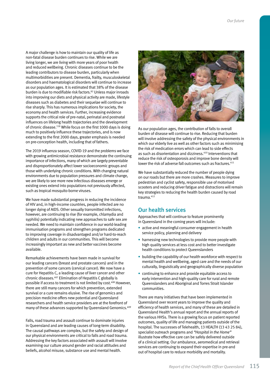A major challenge is how to maintain our quality of life as non-fatal disease burden continues to rise. While we are living longer, we are living with more years of poor health and reduced wellbeing. Chronic diseases continue to be the leading contributors to disease burden, particularly when multimorbidities are present. Dementia, frailty, musculoskeletal disorders and haematological disorders will continue to increase as our population ages. It is estimated that 38% of the disease burden is due to modifiable risk factors.82 Unless major inroads into improving our diets and physical activity are made, lifestyle diseases such as diabetes and their sequelae will continue to rise sharply. This has numerous implications for society, the economy and health services. Further, increasing evidence supports the critical role of pre-natal, perinatal and postnatal influences on lifelong health trajectories and the development of chronic disease.118 While focus on the first 1000 days is doing much to positively influence these trajectories, and is now extending to the first 2000 days, greater emphasis is needed on pre-conception health, including that of fathers.

The 2019 influenza season, COVID-19 and the problems we face with growing antimicrobial resistance demonstrate the continuing importance of infections, many of which are largely preventable and disproportionately affect lower socioeconomic groups and those with underlying chronic conditions. With changing natural environments due to population pressures and climate change, we are likely to see more new infectious diseases emerge or existing ones extend into populations not previously affected, such as tropical mosquito-borne viruses.

We have made substantial progress in reducing the incidence of HIV and, in high-income countries, people infected are no longer dying of AIDS. Other sexually transmitted infections, however, are continuing to rise (for example, chlamydia and syphilis) potentially indicating new approaches to safe sex are needed. We need to maintain confidence in our world-leading immunisation programs and strengthen programs dedicated to improving coverage in disadvantaged and/or hard-to-reach children and adults in our communities. This will become increasingly important as new and better vaccines become available.

Remarkable achievements have been made in survival for our leading cancers (breast and prostate cancers) and in the prevention of some cancers (cervical cancer). We now have a cure for Hepatitis C, a leading cause of liver cancer and other chronic diseases.407 Elimination of Hepatitis C globally is possible if access to treatment is not limited by cost.<sup>408</sup> However, there are still many cancers for which prevention, extended survival or a cure remains elusive. The rise of genomics and precision medicine offers new potential and Queensland researchers and health service providers are at the forefront of many of these advances supported by Queensland Genomics.409

Falls, road trauma and assault continue to dominate injuries in Queensland and are leading causes of long-term disability. The causal pathways are complex, but the safety and design of our physical environments are critical to falls and road trauma. Addressing the key factors associated with assault will involve examining our culture around gender and racial attitudes and beliefs, alcohol misuse, substance use and mental health.



As our population ages, the contribution of falls to overall burden of disease will continue to rise. Reducing that burden will involve addressing the safety of the physical environments in which our elderly live as well as other factors such as minimising the risk of medication errors which can lead to side effects as such as disorientation and dizziness.410 Interventions that reduce the risk of osteoporosis and improve bone density will lower the risk of adverse fall outcomes such as fractures.<sup>411</sup>

We have substantially reduced the number of people dying on our roads but there are more crashes. Measures to improve pedestrian and cyclist safety, responsible use of motorised scooters and reducing driver fatigue and distractions will remain key strategies to reducing the health burden caused by road  $trainma<sup>412</sup>$ 

#### Our health services

Approaches that will continue to feature prominently in Queensland in the coming years will include:

- active and meaningful consumer engagement in health service policy, planning and delivery
- harnessing new technologies to provide more people with high quality services at less cost and to better investigate health conditions to protect Queenslanders
- building the capability of our health workforce with respect to mental health and wellbeing, aged care and the needs of our culturally, linguistically and geographically diverse population
- continuing to enhance and provide equitable access to early intervention and high-quality care for rural and remote Queenslanders and Aboriginal and Torres Strait Islander communities.

There are many initiatives that have been implemented in Queensland over recent years to improve the quality and efficiency of health services, and many of these are detailed in Queensland Health's annual report and the annual reports of the various HHSs. There is a growing focus on patient reported outcomes, quality of life and managing patients outside of the hospital. The successes of Telehealth, 13 HEALTH (13 43 25 84), specialist outreach programs and *"Hospital in the Home"* illustrate how effective care can be safely delivered outside of a clinical setting. Our ambulance, aeromedical and retrieval services are continuing to expand their expertise in pre-and out of hospital care to reduce morbidity and mortality.